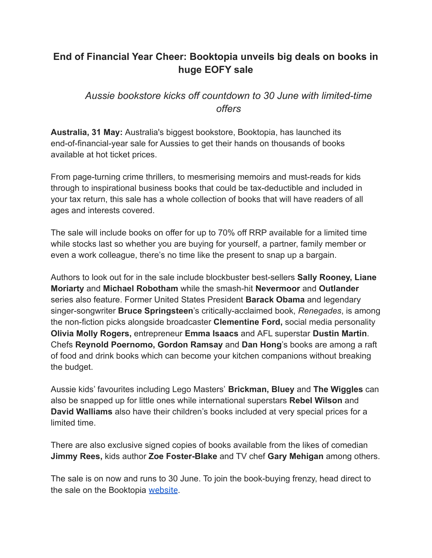# **End of Financial Year Cheer: Booktopia unveils big deals on books in huge EOFY sale**

## *Aussie bookstore kicks off countdown to 30 June with limited-time offers*

**Australia, 31 May:** Australia's biggest bookstore, Booktopia, has launched its end-of-financial-year sale for Aussies to get their hands on thousands of books available at hot ticket prices.

From page-turning crime thrillers, to mesmerising memoirs and must-reads for kids through to inspirational business books that could be tax-deductible and included in your tax return, this sale has a whole collection of books that will have readers of all ages and interests covered.

The sale will include books on offer for up to 70% off RRP available for a limited time while stocks last so whether you are buying for yourself, a partner, family member or even a work colleague, there's no time like the present to snap up a bargain.

Authors to look out for in the sale include blockbuster best-sellers **Sally Rooney, Liane Moriarty** and **Michael Robotham** while the smash-hit **Nevermoor** and **Outlander** series also feature. Former United States President **Barack Obama** and legendary singer-songwriter **Bruce Springsteen**'s critically-acclaimed book, *Renegades*, is among the non-fiction picks alongside broadcaster **Clementine Ford,** social media personality **Olivia Molly Rogers,** entrepreneur **Emma Isaacs** and AFL superstar **Dustin Martin**. Chefs **Reynold Poernomo, Gordon Ramsay** and **Dan Hong**'s books are among a raft of food and drink books which can become your kitchen companions without breaking the budget.

Aussie kids' favourites including Lego Masters' **Brickman, Bluey** and **The Wiggles** can also be snapped up for little ones while international superstars **Rebel Wilson** and **David Walliams** also have their children's books included at very special prices for a limited time.

There are also exclusive signed copies of books available from the likes of comedian **Jimmy Rees,** kids author **Zoe Foster-Blake** and TV chef **Gary Mehigan** among others.

The sale is on now and runs to 30 June. To join the book-buying frenzy, head direct to the sale on the Booktopia [website](https://www.booktopia.com.au/eofy-sale/promo3262.html?src=homepage).